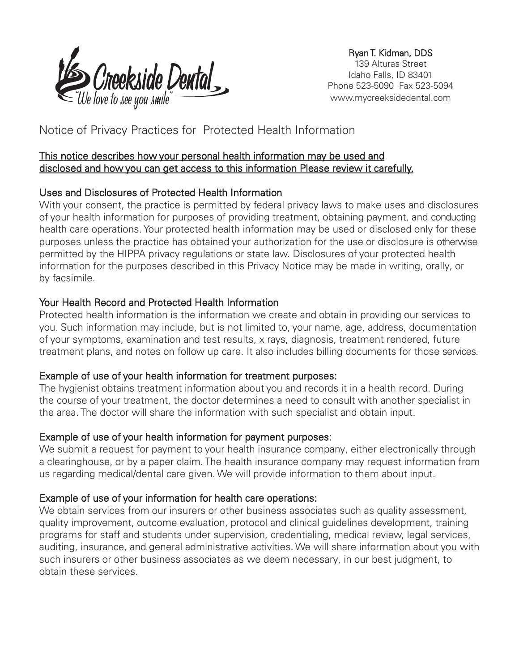

Ryan T. Kidman, DDS 139 Alturas Street Idaho Falls, ID 83401 Phone 523-5090 Fax 523-5094 www.mycreeksidedental.com

# Notice of Privacy Practices for Protected Health Information

### This notice describes how your personal health information may be used and disclosed and how you can get access to this information Please review it carefully.

# Uses and Disclosures of Protected Health Information

With your consent, the practice is permitted by federal privacy laws to make uses and disclosures of your health information for purposes of providing treatment, obtaining payment, and conducting health care operations. Your protected health information may be used or disclosed only for these purposes unless the practice has obtained your authorization for the use or disclosure is otherwise permitted by the HIPPA privacy regulations or state law. Disclosures of your protected health information for the purposes described in this Privacy Notice may be made in writing, orally, or by facsimile.

# Your Health Record and Protected Health Information

Protected health information is the information we create and obtain in providing our services to you. Such information may include, but is not limited to, your name, age, address, documentation of your symptoms, examination and test results, x rays, diagnosis, treatment rendered, future treatment plans, and notes on follow up care. It also includes billing documents for those services.

# Example of use of your health information for treatment purposes:

The hygienist obtains treatment information about you and records it in a health record. During the course of your treatment, the doctor determines a need to consult with another specialist in the area. The doctor will share the information with such specialist and obtain input.

# Example of use of your health information for payment purposes:

We submit a request for payment to your health insurance company, either electronically through a clearinghouse, or by a paper claim. The health insurance company may request information from us regarding medical/dental care given.We will provide information to them about input.

# Example of use of your information for health care operations:

We obtain services from our insurers or other business associates such as quality assessment, quality improvement, outcome evaluation, protocol and clinical guidelines development, training programs for staff and students under supervision, credentialing, medical review, legal services, auditing, insurance, and general administrative activities.We will share information about you with such insurers or other business associates as we deem necessary, in our best judgment, to obtain these services.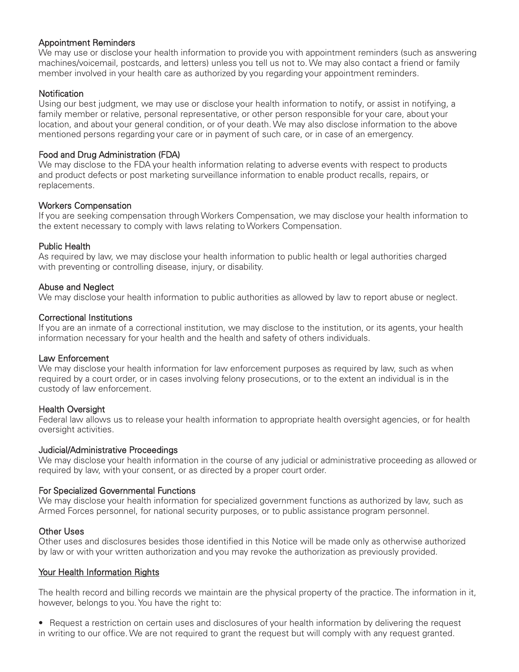#### Appointment Reminders

We may use or disclose your health information to provide you with appointment reminders (such as answering machines/voicemail, postcards, and letters) unless you tell us not to.We may also contact a friend or family member involved in your health care as authorized by you regarding your appointment reminders.

#### **Notification**

Using our best judgment, we may use or disclose your health information to notify, or assist in notifying, a family member or relative, personal representative, or other person responsible for your care, about your location, and about your general condition, or of your death.We may also disclose information to the above mentioned persons regarding your care or in payment of such care, or in case of an emergency.

#### Food and Drug Administration (FDA)

We may disclose to the FDA your health information relating to adverse events with respect to products and product defects or post marketing surveillance information to enable product recalls, repairs, or replacements.

#### Workers Compensation

If you are seeking compensation throughWorkers Compensation, we may disclose your health information to the extent necessary to comply with laws relating toWorkers Compensation.

#### Public Health

As required by law, we may disclose your health information to public health or legal authorities charged with preventing or controlling disease, injury, or disability.

#### Abuse and Neglect

We may disclose your health information to public authorities as allowed by law to report abuse or neglect.

#### Correctional Institutions

If you are an inmate of a correctional institution, we may disclose to the institution, or its agents, your health information necessary for your health and the health and safety of others individuals.

#### Law Enforcement

We may disclose your health information for law enforcement purposes as required by law, such as when required by a court order, or in cases involving felony prosecutions, or to the extent an individual is in the custody of law enforcement.

#### Health Oversight

Federal law allows us to release your health information to appropriate health oversight agencies, or for health oversight activities.

#### Judicial/Administrative Proceedings

We may disclose your health information in the course of any judicial or administrative proceeding as allowed or required by law, with your consent, or as directed by a proper court order.

#### For Specialized Governmental Functions

We may disclose your health information for specialized government functions as authorized by law, such as Armed Forces personnel, for national security purposes, or to public assistance program personnel.

#### Other Uses

Other uses and disclosures besides those identified in this Notice will be made only as otherwise authorized by law or with your written authorization and you may revoke the authorization as previously provided.

#### Your Health Information Rights

The health record and billing records we maintain are the physical property of the practice. The information in it, however, belongs to you. You have the right to:

• Request a restriction on certain uses and disclosures of your health information by delivering the request in writing to our office.We are not required to grant the request but will comply with any request granted.